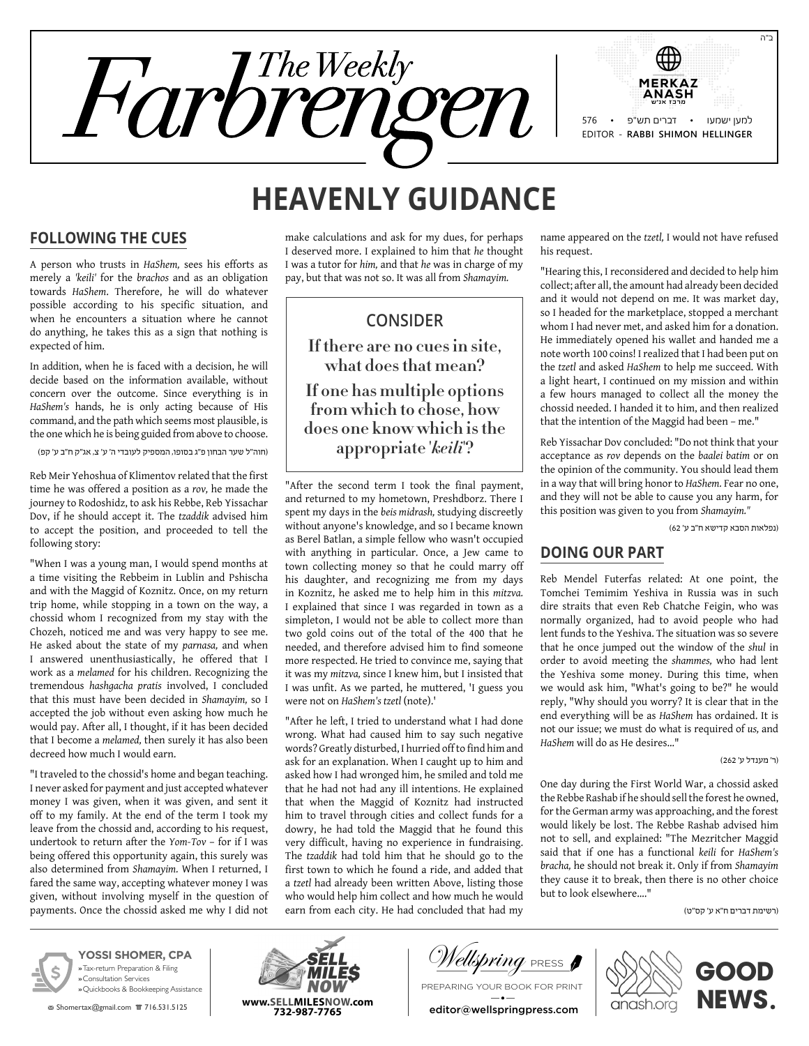

# **Heavenly Guidance**

#### **Following the Cues**

A person who trusts in *HaShem,* sees his efforts as merely a *'keili'* for the *brachos* and as an obligation towards *HaShem*. Therefore, he will do whatever possible according to his specific situation, and when he encounters a situation where he cannot do anything, he takes this as a sign that nothing is expected of him.

In addition, when he is faced with a decision, he will decide based on the information available, without concern over the outcome. Since everything is in *HaShem's* hands, he is only acting because of His command, and the path which seems most plausible, is the one which he is being guided from above to choose.

)חוה"ל שער הבחון פ"ג בסופו, המספיק לעובדי ה' ע' צ, אג"ק ח"ב ע' קפ(

Reb Meir Yehoshua of Klimentov related that the first time he was offered a position as a *rov,* he made the journey to Rodoshidz, to ask his Rebbe, Reb Yissachar Dov, if he should accept it. The *tzaddik* advised him to accept the position, and proceeded to tell the following story:

"When I was a young man, I would spend months at a time visiting the Rebbeim in Lublin and Pshischa and with the Maggid of Koznitz. Once, on my return trip home, while stopping in a town on the way, a chossid whom I recognized from my stay with the Chozeh, noticed me and was very happy to see me. He asked about the state of my *parnasa,* and when I answered unenthusiastically, he offered that I work as a *melamed* for his children. Recognizing the tremendous *hashgacha pratis* involved, I concluded that this must have been decided in *Shamayim,* so I accepted the job without even asking how much he would pay. After all, I thought, if it has been decided that I become a *melamed,* then surely it has also been decreed how much I would earn.

"I traveled to the chossid's home and began teaching. I never asked for payment and just accepted whatever money I was given, when it was given, and sent it off to my family. At the end of the term I took my leave from the chossid and, according to his request, undertook to return after the *Yom-Tov* – for if I was being offered this opportunity again, this surely was also determined from *Shamayim.* When I returned, I fared the same way, accepting whatever money I was given, without involving myself in the question of payments. Once the chossid asked me why I did not

make calculations and ask for my dues, for perhaps I deserved more. I explained to him that *he* thought I was a tutor for *him,* and that *he* was in charge of my pay, but that was not so. It was all from *Shamayim.*

## **Consider**

**If there are no cues in site, what does that mean? If one has multiple options from which to chose, how does one know which is the appropriate '***keili***'?**

"After the second term I took the final payment, and returned to my hometown, Preshdborz. There I spent my days in the *beis midrash,* studying discreetly without anyone's knowledge, and so I became known as Berel Batlan, a simple fellow who wasn't occupied with anything in particular. Once, a Jew came to town collecting money so that he could marry off his daughter, and recognizing me from my days in Koznitz, he asked me to help him in this *mitzva.* I explained that since I was regarded in town as a simpleton, I would not be able to collect more than two gold coins out of the total of the 400 that he needed, and therefore advised him to find someone more respected. He tried to convince me, saying that it was my *mitzva,* since I knew him, but I insisted that I was unfit. As we parted, he muttered, 'I guess you were not on *HaShem's tzetl* (note).'

"After he left, I tried to understand what I had done wrong. What had caused him to say such negative words? Greatly disturbed, I hurried off to find him and ask for an explanation. When I caught up to him and asked how I had wronged him, he smiled and told me that he had not had any ill intentions. He explained that when the Maggid of Koznitz had instructed him to travel through cities and collect funds for a dowry, he had told the Maggid that he found this very difficult, having no experience in fundraising. The *tzaddik* had told him that he should go to the first town to which he found a ride, and added that a *tzetl* had already been written Above, listing those who would help him collect and how much he would earn from each city. He had concluded that had my

name appeared on the *tzetl,* I would not have refused his request.

"Hearing this, I reconsidered and decided to help him collect; after all, the amount had already been decided and it would not depend on me. It was market day, so I headed for the marketplace, stopped a merchant whom I had never met, and asked him for a donation. He immediately opened his wallet and handed me a note worth 100 coins! I realized that I had been put on the *tzetl* and asked *HaShem* to help me succeed. With a light heart, I continued on my mission and within a few hours managed to collect all the money the chossid needed. I handed it to him, and then realized that the intention of the Maggid had been – me."

Reb Yissachar Dov concluded: "Do not think that your acceptance as *rov* depends on the *baalei batim* or on the opinion of the community. You should lead them in a way that will bring honor to *HaShem.* Fear no one, and they will not be able to cause you any harm, for this position was given to you from *Shamayim."*

)נפלאות הסבא קדישא ח"ב ע' 62(

### **Doing Our Part**

Reb Mendel Futerfas related: At one point, the Tomchei Temimim Yeshiva in Russia was in such dire straits that even Reb Chatche Feigin, who was normally organized, had to avoid people who had lent funds to the Yeshiva. The situation was so severe that he once jumped out the window of the *shul* in order to avoid meeting the *shammes,* who had lent the Yeshiva some money. During this time, when we would ask him, "What's going to be?" he would reply, "Why should you worry? It is clear that in the end everything will be as *HaShem* has ordained. It is not our issue; we must do what is required of *us,* and *HaShem* will do as He desires…"

)ר' מענדל ע' 262(

One day during the First World War, a chossid asked the Rebbe Rashab if he should sell the forest he owned, for the German army was approaching, and the forest would likely be lost. The Rebbe Rashab advised him not to sell, and explained: "The Mezritcher Maggid said that if one has a functional *keili* for *HaShem's bracha,* he should not break it. Only if from *Shamayim* they cause it to break, then there is no other choice but to look elsewhere…."

)רשימת דברים ח"א ע' קס"ט(



**YOSSI SHOMER, CPA »** Tax-return Preparation & Filing **»** Consultation Services **»** Quickbooks & Bookkeeping Assistance

**图 Shomertax@gmail.com**  官 716.531.5125



V*ellspring* press **f** 

Preparing your book for print